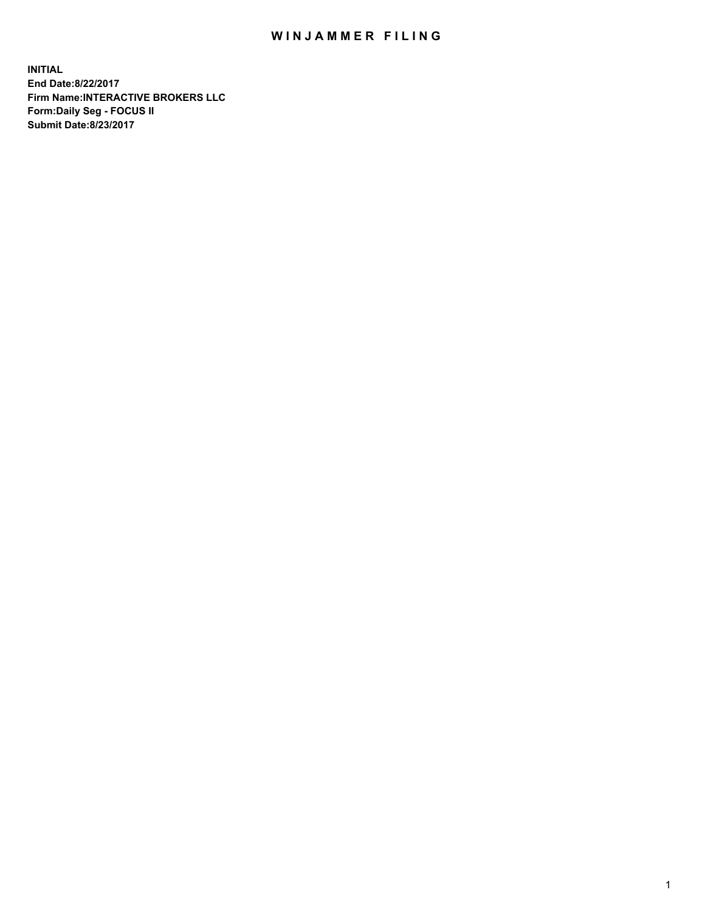## WIN JAMMER FILING

**INITIAL End Date:8/22/2017 Firm Name:INTERACTIVE BROKERS LLC Form:Daily Seg - FOCUS II Submit Date:8/23/2017**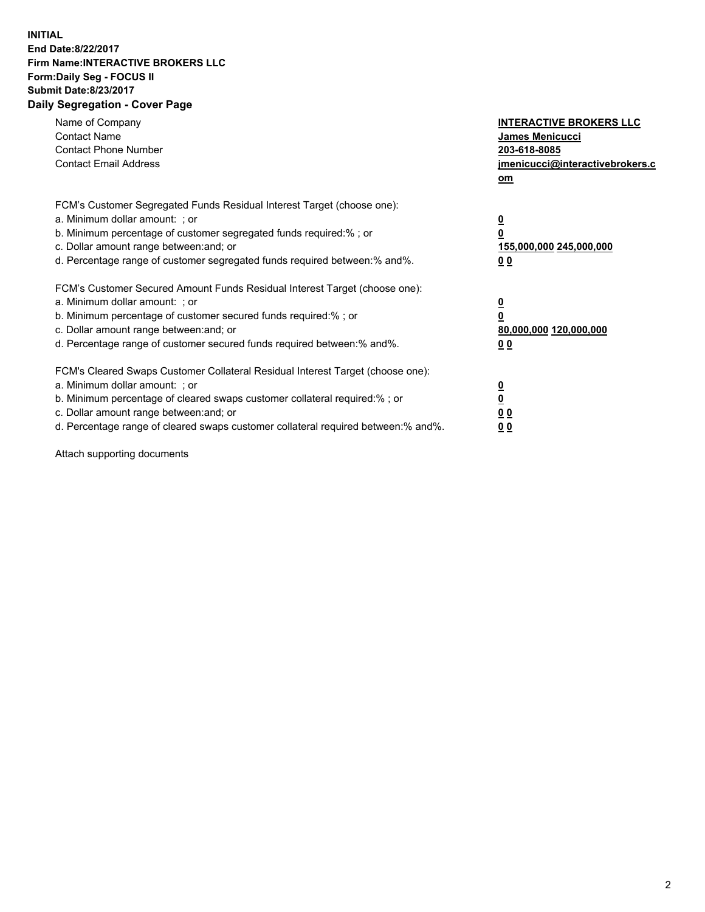## **INITIAL End Date:8/22/2017 Firm Name:INTERACTIVE BROKERS LLC Form:Daily Seg - FOCUS II Submit Date:8/23/2017 Daily Segregation - Cover Page**

| Name of Company<br><b>Contact Name</b><br><b>Contact Phone Number</b><br><b>Contact Email Address</b>                                                                                                                                                                                                                          | <b>INTERACTIVE BROKERS LLC</b><br>James Menicucci<br>203-618-8085<br>jmenicucci@interactivebrokers.c<br>om |
|--------------------------------------------------------------------------------------------------------------------------------------------------------------------------------------------------------------------------------------------------------------------------------------------------------------------------------|------------------------------------------------------------------------------------------------------------|
| FCM's Customer Segregated Funds Residual Interest Target (choose one):<br>a. Minimum dollar amount: ; or<br>b. Minimum percentage of customer segregated funds required:%; or<br>c. Dollar amount range between: and; or<br>d. Percentage range of customer segregated funds required between:% and%.                          | $\overline{\mathbf{0}}$<br>0<br>155,000,000 245,000,000<br>0 <sub>0</sub>                                  |
| FCM's Customer Secured Amount Funds Residual Interest Target (choose one):<br>a. Minimum dollar amount: ; or<br>b. Minimum percentage of customer secured funds required:%; or<br>c. Dollar amount range between: and; or<br>d. Percentage range of customer secured funds required between:% and%.                            | $\overline{\mathbf{0}}$<br>$\overline{\mathbf{0}}$<br>80,000,000 120,000,000<br>00                         |
| FCM's Cleared Swaps Customer Collateral Residual Interest Target (choose one):<br>a. Minimum dollar amount: ; or<br>b. Minimum percentage of cleared swaps customer collateral required:% ; or<br>c. Dollar amount range between: and; or<br>d. Percentage range of cleared swaps customer collateral required between:% and%. | $\overline{\mathbf{0}}$<br>$\overline{\mathbf{0}}$<br>0 <sub>0</sub><br><u>00</u>                          |

Attach supporting documents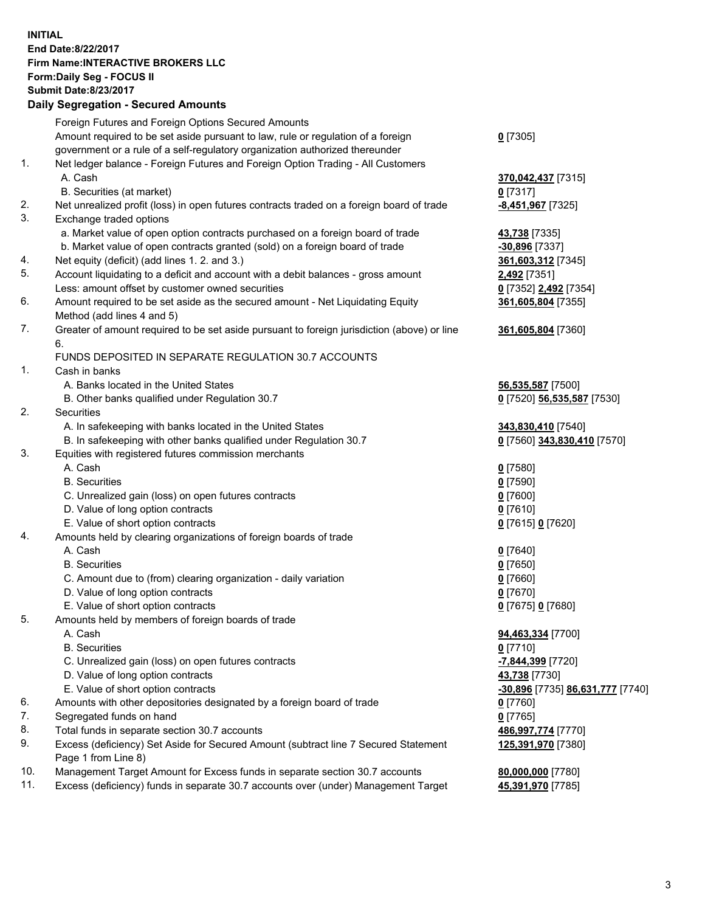## **INITIAL End Date:8/22/2017 Firm Name:INTERACTIVE BROKERS LLC Form:Daily Seg - FOCUS II Submit Date:8/23/2017 Daily Segregation - Secured Amounts**

|     | Daily Ocglegation - Occuled Amounts                                                                        |                                  |
|-----|------------------------------------------------------------------------------------------------------------|----------------------------------|
|     | Foreign Futures and Foreign Options Secured Amounts                                                        |                                  |
|     | Amount required to be set aside pursuant to law, rule or regulation of a foreign                           | $0$ [7305]                       |
|     | government or a rule of a self-regulatory organization authorized thereunder                               |                                  |
| 1.  | Net ledger balance - Foreign Futures and Foreign Option Trading - All Customers                            |                                  |
|     | A. Cash                                                                                                    | 370,042,437 [7315]               |
|     | B. Securities (at market)                                                                                  | $0$ [7317]                       |
| 2.  | Net unrealized profit (loss) in open futures contracts traded on a foreign board of trade                  | -8,451,967 [7325]                |
| 3.  | Exchange traded options                                                                                    |                                  |
|     | a. Market value of open option contracts purchased on a foreign board of trade                             | 43,738 [7335]                    |
|     | b. Market value of open contracts granted (sold) on a foreign board of trade                               | $-30,896$ [7337]                 |
| 4.  | Net equity (deficit) (add lines 1. 2. and 3.)                                                              | 361,603,312 [7345]               |
| 5.  | Account liquidating to a deficit and account with a debit balances - gross amount                          | <b>2,492</b> [7351]              |
|     | Less: amount offset by customer owned securities                                                           | 0 [7352] 2,492 [7354]            |
| 6.  | Amount required to be set aside as the secured amount - Net Liquidating Equity                             | 361,605,804 [7355]               |
|     | Method (add lines 4 and 5)                                                                                 |                                  |
| 7.  | Greater of amount required to be set aside pursuant to foreign jurisdiction (above) or line                | 361,605,804 [7360]               |
|     | 6.                                                                                                         |                                  |
|     | FUNDS DEPOSITED IN SEPARATE REGULATION 30.7 ACCOUNTS                                                       |                                  |
| 1.  | Cash in banks                                                                                              |                                  |
|     | A. Banks located in the United States                                                                      | 56,535,587 [7500]                |
|     | B. Other banks qualified under Regulation 30.7                                                             | 0 [7520] 56,535,587 [7530]       |
| 2.  | Securities                                                                                                 |                                  |
|     | A. In safekeeping with banks located in the United States                                                  | 343,830,410 [7540]               |
|     | B. In safekeeping with other banks qualified under Regulation 30.7                                         | 0 [7560] 343,830,410 [7570]      |
| 3.  | Equities with registered futures commission merchants                                                      |                                  |
|     | A. Cash                                                                                                    | $0$ [7580]                       |
|     | <b>B.</b> Securities                                                                                       | $0$ [7590]                       |
|     | C. Unrealized gain (loss) on open futures contracts                                                        | $0$ [7600]                       |
|     | D. Value of long option contracts                                                                          | $0$ [7610]                       |
|     | E. Value of short option contracts                                                                         | 0 [7615] 0 [7620]                |
| 4.  | Amounts held by clearing organizations of foreign boards of trade                                          |                                  |
|     | A. Cash                                                                                                    | $0$ [7640]                       |
|     | <b>B.</b> Securities                                                                                       | $0$ [7650]                       |
|     | C. Amount due to (from) clearing organization - daily variation                                            | $0$ [7660]                       |
|     | D. Value of long option contracts                                                                          | $0$ [7670]                       |
|     | E. Value of short option contracts                                                                         | 0 [7675] 0 [7680]                |
| 5.  | Amounts held by members of foreign boards of trade                                                         |                                  |
|     | A. Cash                                                                                                    | 94,463,334 [7700]                |
|     | <b>B.</b> Securities                                                                                       | $0$ [7710]                       |
|     | C. Unrealized gain (loss) on open futures contracts                                                        | -7,844,399 [7720]                |
|     | D. Value of long option contracts                                                                          | 43,738 [7730]                    |
|     | E. Value of short option contracts                                                                         | -30,896 [7735] 86,631,777 [7740] |
| 6.  | Amounts with other depositories designated by a foreign board of trade                                     | 0 [7760]                         |
| 7.  | Segregated funds on hand                                                                                   | $0$ [7765]                       |
| 8.  | Total funds in separate section 30.7 accounts                                                              | 486,997,774 [7770]               |
| 9.  | Excess (deficiency) Set Aside for Secured Amount (subtract line 7 Secured Statement<br>Page 1 from Line 8) | 125,391,970 [7380]               |
| 10. | Management Target Amount for Excess funds in separate section 30.7 accounts                                | 80,000,000 [7780]                |
| 11. | Excess (deficiency) funds in separate 30.7 accounts over (under) Management Target                         | 45,391,970 [7785]                |
|     |                                                                                                            |                                  |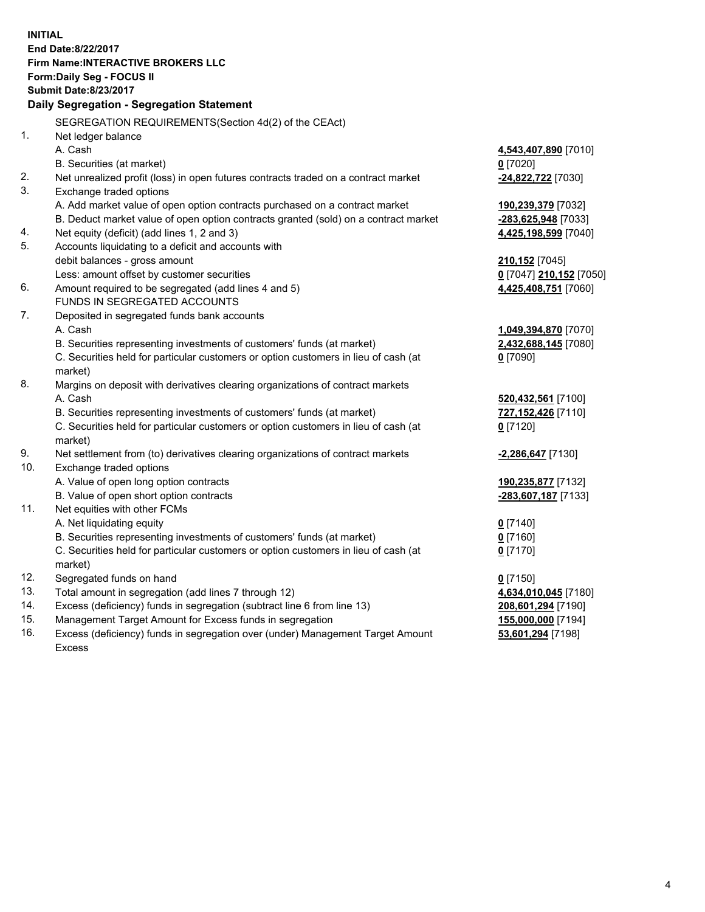**INITIAL End Date:8/22/2017 Firm Name:INTERACTIVE BROKERS LLC Form:Daily Seg - FOCUS II Submit Date:8/23/2017 Daily Segregation - Segregation Statement** SEGREGATION REQUIREMENTS(Section 4d(2) of the CEAct) 1. Net ledger balance A. Cash **4,543,407,890** [7010] B. Securities (at market) **0** [7020] 2. Net unrealized profit (loss) in open futures contracts traded on a contract market **-24,822,722** [7030] 3. Exchange traded options A. Add market value of open option contracts purchased on a contract market **190,239,379** [7032] B. Deduct market value of open option contracts granted (sold) on a contract market **-283,625,948** [7033] 4. Net equity (deficit) (add lines 1, 2 and 3) **4,425,198,599** [7040] 5. Accounts liquidating to a deficit and accounts with debit balances - gross amount **210,152** [7045] Less: amount offset by customer securities **0** [7047] **210,152** [7050] 6. Amount required to be segregated (add lines 4 and 5) **4,425,408,751** [7060] FUNDS IN SEGREGATED ACCOUNTS 7. Deposited in segregated funds bank accounts A. Cash **1,049,394,870** [7070] B. Securities representing investments of customers' funds (at market) **2,432,688,145** [7080] C. Securities held for particular customers or option customers in lieu of cash (at market) **0** [7090] 8. Margins on deposit with derivatives clearing organizations of contract markets A. Cash **520,432,561** [7100] B. Securities representing investments of customers' funds (at market) **727,152,426** [7110] C. Securities held for particular customers or option customers in lieu of cash (at market) **0** [7120] 9. Net settlement from (to) derivatives clearing organizations of contract markets **-2,286,647** [7130] 10. Exchange traded options A. Value of open long option contracts **190,235,877** [7132] B. Value of open short option contracts **-283,607,187** [7133] 11. Net equities with other FCMs A. Net liquidating equity **0** [7140] B. Securities representing investments of customers' funds (at market) **0** [7160] C. Securities held for particular customers or option customers in lieu of cash (at market) **0** [7170] 12. Segregated funds on hand **0** [7150] 13. Total amount in segregation (add lines 7 through 12) **4,634,010,045** [7180] 14. Excess (deficiency) funds in segregation (subtract line 6 from line 13) **208,601,294** [7190] 15. Management Target Amount for Excess funds in segregation **155,000,000** [7194] **53,601,294** [7198]

16. Excess (deficiency) funds in segregation over (under) Management Target Amount Excess